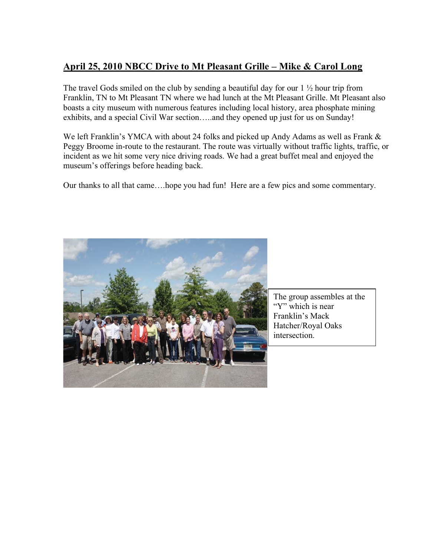## **April 25, 2010 NBCC Drive to Mt Pleasant Grille – Mike & Carol Long**

The travel Gods smiled on the club by sending a beautiful day for our  $1\frac{1}{2}$  hour trip from Franklin, TN to Mt Pleasant TN where we had lunch at the Mt Pleasant Grille. Mt Pleasant also boasts a city museum with numerous features including local history, area phosphate mining exhibits, and a special Civil War section…..and they opened up just for us on Sunday!

We left Franklin's YMCA with about 24 folks and picked up Andy Adams as well as Frank & Peggy Broome in-route to the restaurant. The route was virtually without traffic lights, traffic, or incident as we hit some very nice driving roads. We had a great buffet meal and enjoyed the museum's offerings before heading back.

Our thanks to all that came….hope you had fun! Here are a few pics and some commentary.



The group assembles at the "Y" which is near Franklin's Mack Hatcher/Royal Oaks intersection.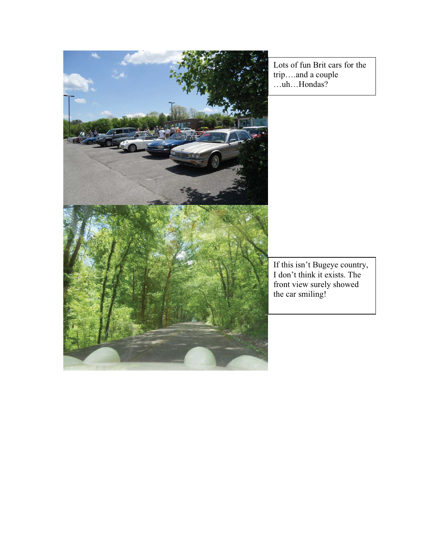

Lots of fun Brit cars for the trip....and a couple<br>...uh...Hondas?

If this isn't Bugeye country,<br>I don't think it exists. The<br>front view surely showed<br>the car smiling!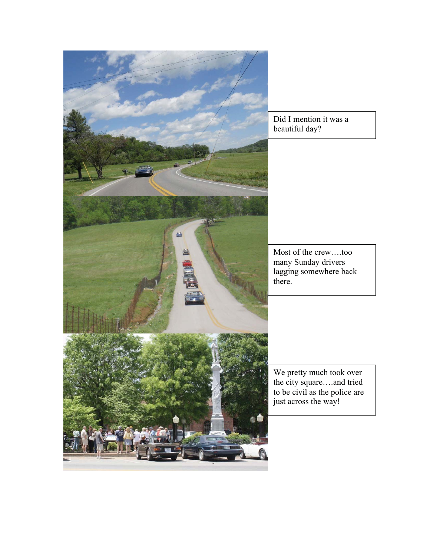

Did I mention it was a beautiful day?

Most of the crew….too many Sunday drivers lagging somewhere back there.

We pretty much took over the city square….and tried to be civil as the police are just across the way!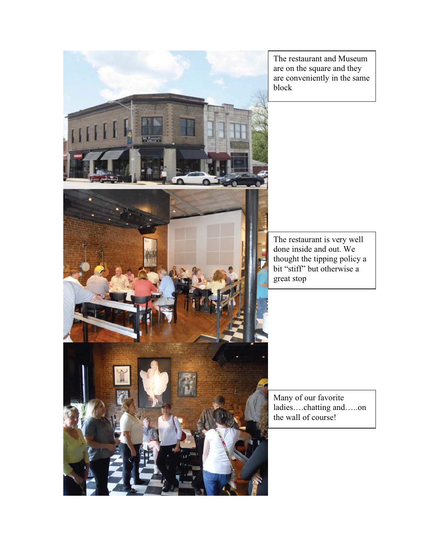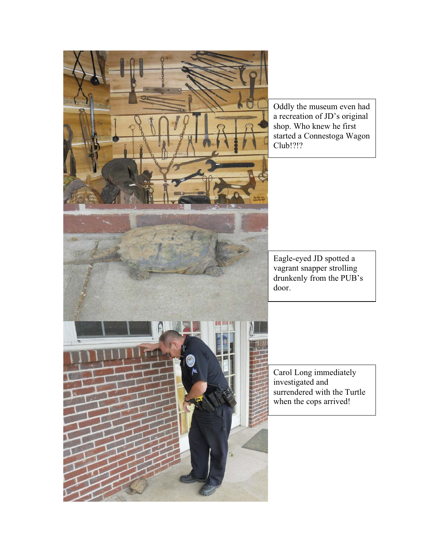

Oddly the museum even had a recreation of JD's original shop. Who knew he first started a Connestoga Wagon Club!?!?

Eagle-eyed JD spotted a vagrant snapper strolling drunkenly from the PUB's door.

Carol Long immediately investigated and surrendered with the Turtle when the cops arrived!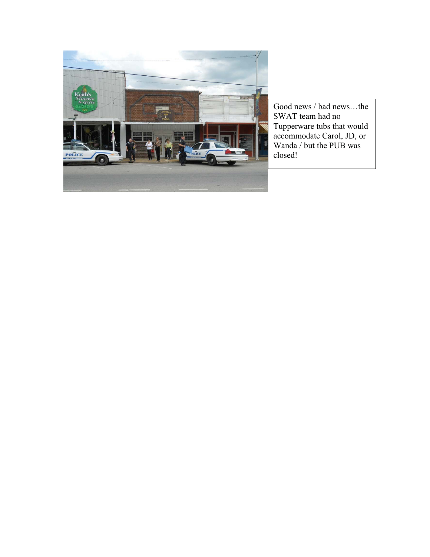

Good news / bad news…the SWAT team had no Tupperware tubs that would accommodate Carol, JD, or Wanda / but the PUB was closed!